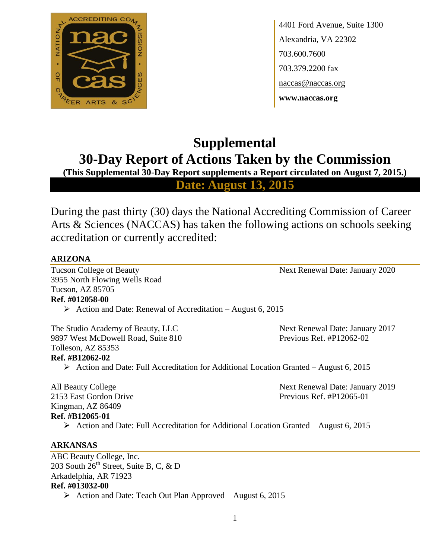

4401 Ford Avenue, Suite 1300 Alexandria, VA 22302 703.600.7600 703.379.2200 fax naccas@naccas.org **www.naccas.org**

# **Supplemental 30-Day Report of Actions Taken by the Commission**

**(This Supplemental 30-Day Report supplements a Report circulated on August 7, 2015.)**

**Date: August 13, 2015**

During the past thirty (30) days the National Accrediting Commission of Career Arts & Sciences (NACCAS) has taken the following actions on schools seeking accreditation or currently accredited:

# **ARIZONA**

Tucson College of Beauty Next Renewal Date: January 2020 3955 North Flowing Wells Road Tucson, AZ 85705 **Ref. #012058-00**

Action and Date: Renewal of Accreditation – August 6, 2015

The Studio Academy of Beauty, LLC Next Renewal Date: January 2017 9897 West McDowell Road, Suite 810 Previous Ref. #P12062-02 Tolleson, AZ 85353 **Ref. #B12062-02**

 $\triangleright$  Action and Date: Full Accreditation for Additional Location Granted – August 6, 2015

2153 East Gordon Drive Previous Ref. #P12065-01 Kingman, AZ 86409 **Ref. #B12065-01**

All Beauty College **Next Renewal Date: January 2019** 

 $\triangleright$  Action and Date: Full Accreditation for Additional Location Granted – August 6, 2015

# **ARKANSAS**

ABC Beauty College, Inc. 203 South 26<sup>th</sup> Street, Suite B, C, & D Arkadelphia, AR 71923 **Ref. #013032-00** Action and Date: Teach Out Plan Approved – August 6, 2015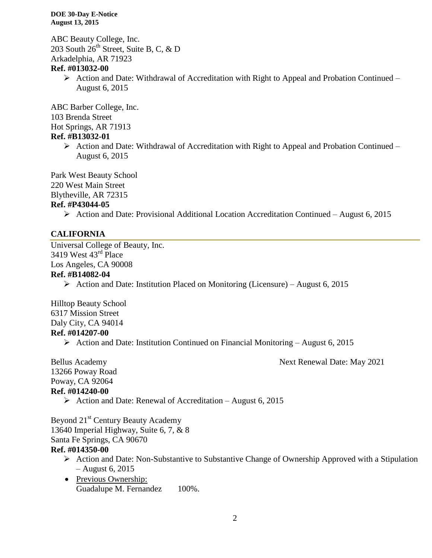ABC Beauty College, Inc. 203 South  $26^{th}$  Street, Suite B, C, & D Arkadelphia, AR 71923 **Ref. #013032-00**

> $\triangleright$  Action and Date: Withdrawal of Accreditation with Right to Appeal and Probation Continued – August 6, 2015

ABC Barber College, Inc. 103 Brenda Street Hot Springs, AR 71913 **Ref. #B13032-01**

> $\triangleright$  Action and Date: Withdrawal of Accreditation with Right to Appeal and Probation Continued – August 6, 2015

Park West Beauty School 220 West Main Street Blytheville, AR 72315

# **Ref. #P43044-05**

 $\triangleright$  Action and Date: Provisional Additional Location Accreditation Continued – August 6, 2015

# **CALIFORNIA**

Universal College of Beauty, Inc. 3419 West 43rd Place Los Angeles, CA 90008

### **Ref. #B14082-04**

Action and Date: Institution Placed on Monitoring (Licensure) – August 6, 2015

Hilltop Beauty School 6317 Mission Street Daly City, CA 94014 **Ref. #014207-00**

Action and Date: Institution Continued on Financial Monitoring – August 6, 2015

Bellus Academy Next Renewal Date: May 2021 13266 Poway Road Poway, CA 92064 **Ref. #014240-00**

 $\triangleright$  Action and Date: Renewal of Accreditation – August 6, 2015

Beyond 21<sup>st</sup> Century Beauty Academy 13640 Imperial Highway, Suite 6, 7, & 8 Santa Fe Springs, CA 90670 **Ref. #014350-00**

- $\triangleright$  Action and Date: Non-Substantive to Substantive Change of Ownership Approved with a Stipulation – August 6, 2015
- Previous Ownership: Guadalupe M. Fernandez 100%.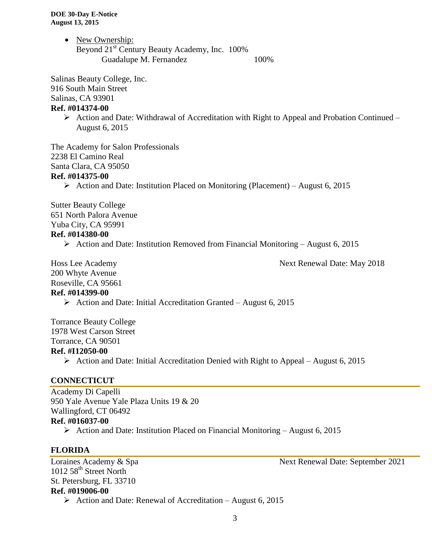• New Ownership: Beyond 21<sup>st</sup> Century Beauty Academy, Inc. 100% Guadalupe M. Fernandez 100%

Salinas Beauty College, Inc.

916 South Main Street

Salinas, CA 93901

#### **Ref. #014374-00**

 $\triangleright$  Action and Date: Withdrawal of Accreditation with Right to Appeal and Probation Continued – August 6, 2015

The Academy for Salon Professionals 2238 El Camino Real Santa Clara, CA 95050 **Ref. #014375-00**

Action and Date: Institution Placed on Monitoring (Placement) – August 6, 2015

Sutter Beauty College 651 North Palora Avenue Yuba City, CA 95991 **Ref. #014380-00**

Action and Date: Institution Removed from Financial Monitoring – August 6, 2015

Hoss Lee Academy Next Renewal Date: May 2018 200 Whyte Avenue Roseville, CA 95661 **Ref. #014399-00**

 $\triangleright$  Action and Date: Initial Accreditation Granted – August 6, 2015

Torrance Beauty College 1978 West Carson Street Torrance, CA 90501 **Ref. #I12050-00**

Action and Date: Initial Accreditation Denied with Right to Appeal – August 6, 2015

# **CONNECTICUT**

Academy Di Capelli 950 Yale Avenue Yale Plaza Units 19 & 20 Wallingford, CT 06492 **Ref. #016037-00** Action and Date: Institution Placed on Financial Monitoring – August 6, 2015

# **FLORIDA**

Loraines Academy & Spa Next Renewal Date: September 2021 1012 58<sup>th</sup> Street North St. Petersburg, FL 33710 **Ref. #019006-00**

 $\triangleright$  Action and Date: Renewal of Accreditation – August 6, 2015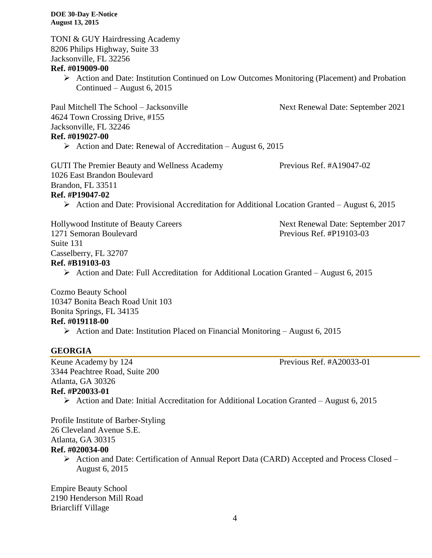**DOE 30-Day E-Notice August 13, 2015** TONI & GUY Hairdressing Academy 8206 Philips Highway, Suite 33 Jacksonville, FL 32256 **Ref. #019009-00**  $\triangleright$  Action and Date: Institution Continued on Low Outcomes Monitoring (Placement) and Probation Continued – August 6, 2015 Paul Mitchell The School – Jacksonville Next Renewal Date: September 2021 4624 Town Crossing Drive, #155 Jacksonville, FL 32246 **Ref. #019027-00**  $\triangleright$  Action and Date: Renewal of Accreditation – August 6, 2015 GUTI The Premier Beauty and Wellness Academy Previous Ref. #A19047-02 1026 East Brandon Boulevard Brandon, FL 33511 **Ref. #P19047-02**  $\triangleright$  Action and Date: Provisional Accreditation for Additional Location Granted – August 6, 2015 Hollywood Institute of Beauty Careers Next Renewal Date: September 2017 1271 Semoran Boulevard Previous Ref. #P19103-03 Suite 131 Casselberry, FL 32707 **Ref. #B19103-03**  $\triangleright$  Action and Date: Full Accreditation for Additional Location Granted – August 6, 2015 Cozmo Beauty School 10347 Bonita Beach Road Unit 103 Bonita Springs, FL 34135 **Ref. #019118-00**

Action and Date: Institution Placed on Financial Monitoring – August 6, 2015

### **GEORGIA**

Keune Academy by 124 Previous Ref. #A20033-01 3344 Peachtree Road, Suite 200 Atlanta, GA 30326

# **Ref. #P20033-01**

Action and Date: Initial Accreditation for Additional Location Granted – August 6, 2015

Profile Institute of Barber-Styling 26 Cleveland Avenue S.E. Atlanta, GA 30315 **Ref. #020034-00**

 $\triangleright$  Action and Date: Certification of Annual Report Data (CARD) Accepted and Process Closed – August 6, 2015

Empire Beauty School 2190 Henderson Mill Road Briarcliff Village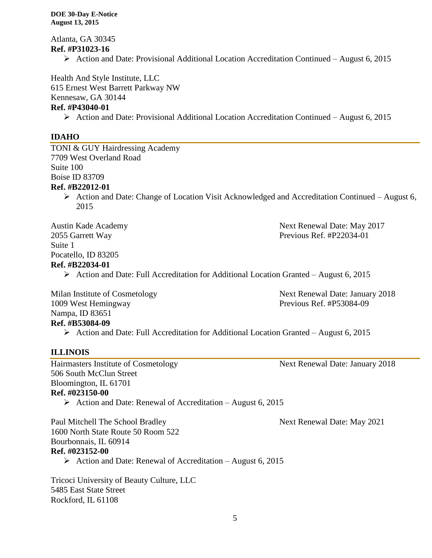Atlanta, GA 30345 **Ref. #P31023-16**

 $\triangleright$  Action and Date: Provisional Additional Location Accreditation Continued – August 6, 2015

Health And Style Institute, LLC

615 Ernest West Barrett Parkway NW Kennesaw, GA 30144

# **Ref. #P43040-01**

Action and Date: Provisional Additional Location Accreditation Continued – August 6, 2015

# **IDAHO**

TONI & GUY Hairdressing Academy 7709 West Overland Road Suite 100 Boise ID 83709 **Ref. #B22012-01**  $\triangleright$  Action and Date: Change of Location Visit Acknowledged and Accreditation Continued – August 6,

2015

Suite 1 Pocatello, ID 83205 **Ref. #B22034-01**

Austin Kade Academy Next Renewal Date: May 2017 2055 Garrett Way Previous Ref. #P22034-01

 $\triangleright$  Action and Date: Full Accreditation for Additional Location Granted – August 6, 2015

1009 West Hemingway Previous Ref. #P53084-09 Nampa, ID 83651 **Ref. #B53084-09**

Milan Institute of Cosmetology Next Renewal Date: January 2018

 $\triangleright$  Action and Date: Full Accreditation for Additional Location Granted – August 6, 2015

# **ILLINOIS**

Hairmasters Institute of Cosmetology Next Renewal Date: January 2018 506 South McClun Street Bloomington, IL 61701 **Ref. #023150-00**

Action and Date: Renewal of Accreditation – August 6, 2015

Paul Mitchell The School Bradley Next Renewal Date: May 2021 1600 North State Route 50 Room 522 Bourbonnais, IL 60914 **Ref. #023152-00**

Action and Date: Renewal of Accreditation – August 6, 2015

Tricoci University of Beauty Culture, LLC 5485 East State Street Rockford, IL 61108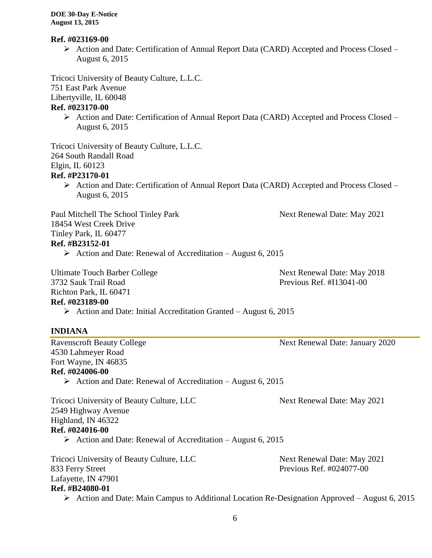#### **Ref. #023169-00**

 Action and Date: Certification of Annual Report Data (CARD) Accepted and Process Closed – August 6, 2015

Tricoci University of Beauty Culture, L.L.C.

751 East Park Avenue

Libertyville, IL 60048

#### **Ref. #023170-00**

 $\triangleright$  Action and Date: Certification of Annual Report Data (CARD) Accepted and Process Closed – August 6, 2015

Tricoci University of Beauty Culture, L.L.C. 264 South Randall Road Elgin, IL 60123 **Ref. #P23170-01**

 Action and Date: Certification of Annual Report Data (CARD) Accepted and Process Closed – August 6, 2015

Paul Mitchell The School Tinley Park Next Renewal Date: May 2021

18454 West Creek Drive

Tinley Park, IL 60477

**Ref. #B23152-01**

Action and Date: Renewal of Accreditation – August 6, 2015

Ultimate Touch Barber College Next Renewal Date: May 2018 3732 Sauk Trail Road Previous Ref. #I13041-00 Richton Park, IL 60471 **Ref. #023189-00**

 $\triangleright$  Action and Date: Initial Accreditation Granted – August 6, 2015

# **INDIANA**

4530 Lahmeyer Road Fort Wayne, IN 46835 **Ref. #024006-00**

 $\triangleright$  Action and Date: Renewal of Accreditation – August 6, 2015

Tricoci University of Beauty Culture, LLC Next Renewal Date: May 2021 2549 Highway Avenue Highland, IN 46322 **Ref. #024016-00**  $\triangleright$  Action and Date: Renewal of Accreditation – August 6, 2015

Tricoci University of Beauty Culture, LLC Next Renewal Date: May 2021 833 Ferry Street Previous Ref. #024077-00 Lafayette, IN 47901 **Ref. #B24080-01** Action and Date: Main Campus to Additional Location Re-Designation Approved – August 6, 2015

Ravenscroft Beauty College Next Renewal Date: January 2020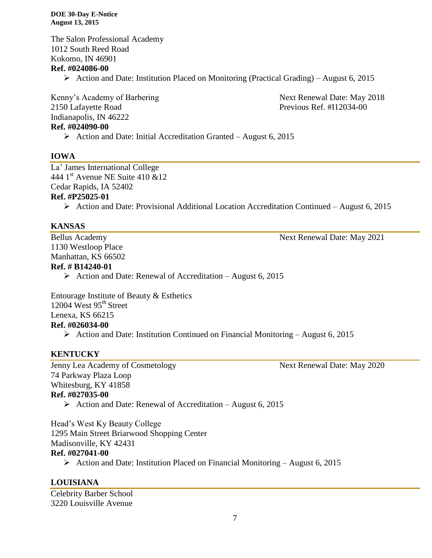The Salon Professional Academy 1012 South Reed Road Kokomo, IN 46901 **Ref. #024086-00**

 $\triangleright$  Action and Date: Institution Placed on Monitoring (Practical Grading) – August 6, 2015

Kenny's Academy of Barbering Next Renewal Date: May 2018 2150 Lafayette Road Previous Ref. #I12034-00 Indianapolis, IN 46222 **Ref. #024090-00**

 $\triangleright$  Action and Date: Initial Accreditation Granted – August 6, 2015

#### **IOWA**

La' James International College 444 1<sup>st</sup> Avenue NE Suite 410 &12 Cedar Rapids, IA 52402 **Ref. #P25025-01**

Action and Date: Provisional Additional Location Accreditation Continued – August 6, 2015

#### **KANSAS**

1130 Westloop Place Manhattan, KS 66502

Bellus Academy Next Renewal Date: May 2021

**Ref. # B14240-01**

 $\triangleright$  Action and Date: Renewal of Accreditation – August 6, 2015

Entourage Institute of Beauty & Esthetics 12004 West  $95<sup>th</sup>$  Street Lenexa, KS 66215 **Ref. #026034-00** Action and Date: Institution Continued on Financial Monitoring – August 6, 2015

#### **KENTUCKY**

Jenny Lea Academy of Cosmetology Next Renewal Date: May 2020 74 Parkway Plaza Loop Whitesburg, KY 41858 **Ref. #027035-00**

Action and Date: Renewal of Accreditation – August 6, 2015

Head's West Ky Beauty College 1295 Main Street Briarwood Shopping Center Madisonville, KY 42431 **Ref. #027041-00**

# Action and Date: Institution Placed on Financial Monitoring – August 6, 2015

# **LOUISIANA**

Celebrity Barber School 3220 Louisville Avenue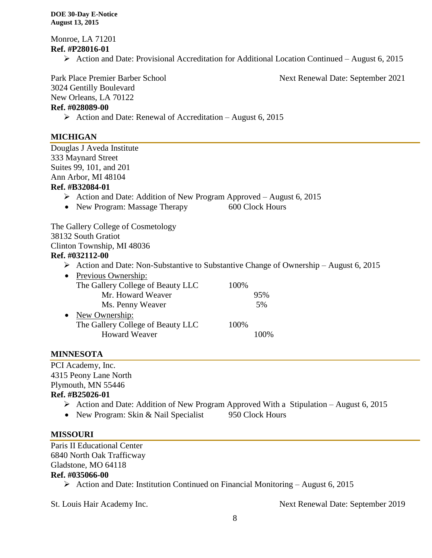Monroe, LA 71201 **Ref. #P28016-01**

 $\triangleright$  Action and Date: Provisional Accreditation for Additional Location Continued – August 6, 2015

Park Place Premier Barber School Next Renewal Date: September 2021

3024 Gentilly Boulevard

New Orleans, LA 70122

# **Ref. #028089-00**

Action and Date: Renewal of Accreditation – August 6, 2015

# **MICHIGAN**

Douglas J Aveda Institute 333 Maynard Street Suites 99, 101, and 201 Ann Arbor, MI 48104 **Ref. #B32084-01**

- $\triangleright$  Action and Date: Addition of New Program Approved August 6, 2015
- New Program: Massage Therapy 600 Clock Hours

The Gallery College of Cosmetology 38132 South Gratiot Clinton Township, MI 48036

# **Ref. #032112-00**

 $\triangleright$  Action and Date: Non-Substantive to Substantive Change of Ownership – August 6, 2015

| $\bullet$ | Previous Ownership:               |      |         |
|-----------|-----------------------------------|------|---------|
|           | The Gallery College of Beauty LLC | 100% |         |
|           | Mr. Howard Weaver                 |      | 95%     |
|           | Ms. Penny Weaver                  |      | 5%      |
| $\bullet$ | New Ownership:                    |      |         |
|           | The Gallery College of Beauty LLC | 100% |         |
|           | <b>Howard Weaver</b>              |      | $100\%$ |
|           |                                   |      |         |

# **MINNESOTA**

PCI Academy, Inc. 4315 Peony Lane North Plymouth, MN 55446 **Ref. #B25026-01**

- $\triangleright$  Action and Date: Addition of New Program Approved With a Stipulation August 6, 2015
- New Program: Skin & Nail Specialist 950 Clock Hours

# **MISSOURI**

Paris II Educational Center 6840 North Oak Trafficway Gladstone, MO 64118 **Ref. #035066-00**

 $\triangleright$  Action and Date: Institution Continued on Financial Monitoring – August 6, 2015

St. Louis Hair Academy Inc. Next Renewal Date: September 2019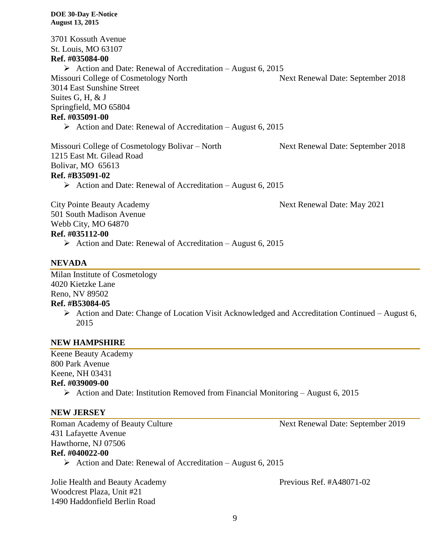3701 Kossuth Avenue St. Louis, MO 63107 **Ref. #035084-00** Action and Date: Renewal of Accreditation – August 6, 2015 Missouri College of Cosmetology North Next Renewal Date: September 2018 3014 East Sunshine Street Suites G, H, & J Springfield, MO 65804 **Ref. #035091-00**  $\triangleright$  Action and Date: Renewal of Accreditation – August 6, 2015 Missouri College of Cosmetology Bolivar – North Next Renewal Date: September 2018 1215 East Mt. Gilead Road Bolivar, MO 65613 **Ref. #B35091-02** Action and Date: Renewal of Accreditation – August 6, 2015 City Pointe Beauty Academy **Next Renewal Date: May 2021** 

501 South Madison Avenue Webb City, MO 64870 **Ref. #035112-00**

 $\triangleright$  Action and Date: Renewal of Accreditation – August 6, 2015

#### **NEVADA**

Milan Institute of Cosmetology 4020 Kietzke Lane Reno, NV 89502

#### **Ref. #B53084-05**

 $\triangleright$  Action and Date: Change of Location Visit Acknowledged and Accreditation Continued – August 6, 2015

#### **NEW HAMPSHIRE**

Keene Beauty Academy 800 Park Avenue Keene, NH 03431 **Ref. #039009-00**

Action and Date: Institution Removed from Financial Monitoring – August 6, 2015

#### **NEW JERSEY**

431 Lafayette Avenue Hawthorne, NJ 07506 **Ref. #040022-00**

 $\triangleright$  Action and Date: Renewal of Accreditation – August 6, 2015

Jolie Health and Beauty Academy Previous Ref. #A48071-02 Woodcrest Plaza, Unit #21 1490 Haddonfield Berlin Road

Roman Academy of Beauty Culture Next Renewal Date: September 2019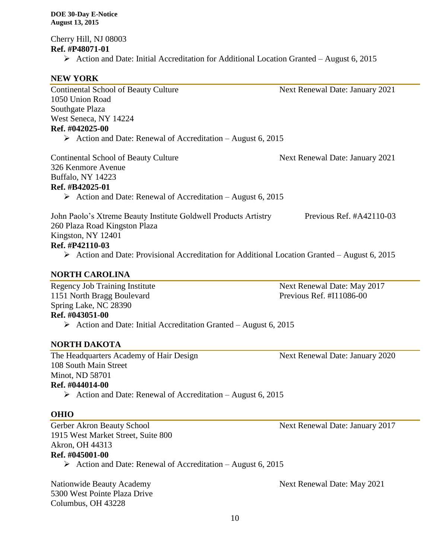Cherry Hill, NJ 08003 **Ref. #P48071-01**

 $\triangleright$  Action and Date: Initial Accreditation for Additional Location Granted – August 6, 2015

# **NEW YORK**

| <b>Continental School of Beauty Culture</b>                                                                  | Next Renewal Date: January 2021 |  |  |  |
|--------------------------------------------------------------------------------------------------------------|---------------------------------|--|--|--|
| 1050 Union Road                                                                                              |                                 |  |  |  |
| Southgate Plaza                                                                                              |                                 |  |  |  |
| West Seneca, NY 14224                                                                                        |                                 |  |  |  |
| Ref. #042025-00                                                                                              |                                 |  |  |  |
| $\triangleright$ Action and Date: Renewal of Accreditation – August 6, 2015                                  |                                 |  |  |  |
| <b>Continental School of Beauty Culture</b>                                                                  | Next Renewal Date: January 2021 |  |  |  |
| 326 Kenmore Avenue                                                                                           |                                 |  |  |  |
| Buffalo, NY 14223                                                                                            |                                 |  |  |  |
| Ref. #B42025-01                                                                                              |                                 |  |  |  |
| $\triangleright$ Action and Date: Renewal of Accreditation – August 6, 2015                                  |                                 |  |  |  |
| John Paolo's Xtreme Beauty Institute Goldwell Products Artistry                                              | Previous Ref. #A42110-03        |  |  |  |
| 260 Plaza Road Kingston Plaza                                                                                |                                 |  |  |  |
| Kingston, NY 12401                                                                                           |                                 |  |  |  |
| Ref. #P42110-03                                                                                              |                                 |  |  |  |
| $\triangleright$ Action and Date: Provisional Accreditation for Additional Location Granted – August 6, 2015 |                                 |  |  |  |
| <b>NORTH CAROLINA</b>                                                                                        |                                 |  |  |  |
| <b>Regency Job Training Institute</b>                                                                        | Next Renewal Date: May 2017     |  |  |  |
| 1151 North Bragg Boulevard                                                                                   | Previous Ref. #I11086-00        |  |  |  |
| Spring Lake, NC 28390                                                                                        |                                 |  |  |  |
| Ref. #043051-00                                                                                              |                                 |  |  |  |

Action and Date: Initial Accreditation Granted – August 6, 2015

#### **NORTH DAKOTA**

The Headquarters Academy of Hair Design Next Renewal Date: January 2020 108 South Main Street Minot, ND 58701 **Ref. #044014-00**

Action and Date: Renewal of Accreditation – August 6, 2015

#### **OHIO**

Gerber Akron Beauty School Next Renewal Date: January 2017 1915 West Market Street, Suite 800 Akron, OH 44313 **Ref. #045001-00**

Action and Date: Renewal of Accreditation – August 6, 2015

Nationwide Beauty Academy **Next Renewal Date: May 2021** 5300 West Pointe Plaza Drive Columbus, OH 43228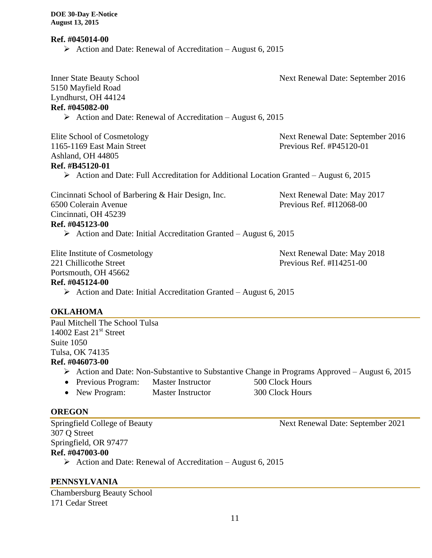**Ref. #045014-00**

Action and Date: Renewal of Accreditation – August 6, 2015

Inner State Beauty School Next Renewal Date: September 2016 5150 Mayfield Road Lyndhurst, OH 44124 **Ref. #045082-00**  $\triangleright$  Action and Date: Renewal of Accreditation – August 6, 2015 Elite School of Cosmetology Next Renewal Date: September 2016 1165-1169 East Main Street **Previous Ref. #P45120-01** Ashland, OH 44805 **Ref. #B45120-01** Action and Date: Full Accreditation for Additional Location Granted – August 6, 2015 Cincinnati School of Barbering & Hair Design, Inc. Next Renewal Date: May 2017 6500 Colerain Avenue Previous Ref. #I12068-00 Cincinnati, OH 45239 **Ref. #045123-00**  $\triangleright$  Action and Date: Initial Accreditation Granted – August 6, 2015 Elite Institute of Cosmetology Next Renewal Date: May 2018 221 Chillicothe Street **Previous Ref.** #I14251-00 Portsmouth, OH 45662 **Ref. #045124-00**  $\triangleright$  Action and Date: Initial Accreditation Granted – August 6, 2015 **OKLAHOMA** Paul Mitchell The School Tulsa 14002 East  $21<sup>st</sup>$  Street Suite 1050 Tulsa, OK 74135

#### **Ref. #046073-00**

- $\triangleright$  Action and Date: Non-Substantive to Substantive Change in Programs Approved August 6, 2015
- Previous Program: Master Instructor 500 Clock Hours
- New Program: Master Instructor 300 Clock Hours

#### **OREGON**

307 Q Street Springfield, OR 97477 **Ref. #047003-00**

 $\triangleright$  Action and Date: Renewal of Accreditation – August 6, 2015

# **PENNSYLVANIA**

Chambersburg Beauty School 171 Cedar Street

Springfield College of Beauty Next Renewal Date: September 2021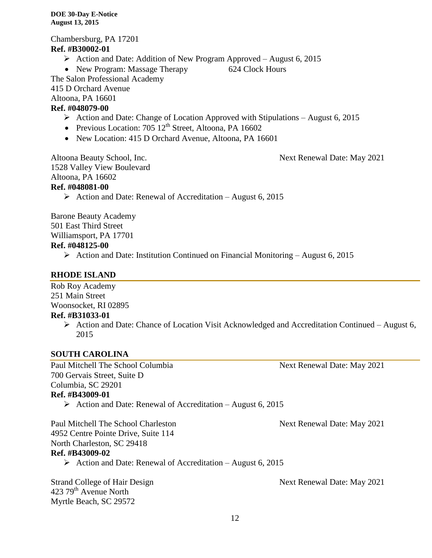Chambersburg, PA 17201 **Ref. #B30002-01**  $\triangleright$  Action and Date: Addition of New Program Approved – August 6, 2015 • New Program: Massage Therapy 624 Clock Hours The Salon Professional Academy 415 D Orchard Avenue Altoona, PA 16601 **Ref. #048079-00**  $\triangleright$  Action and Date: Change of Location Approved with Stipulations – August 6, 2015 • Previous Location:  $705 \times 12^{th}$  Street, Altoona, PA 16602 • New Location: 415 D Orchard Avenue, Altoona, PA 16601

Altoona Beauty School, Inc. Next Renewal Date: May 2021 1528 Valley View Boulevard Altoona, PA 16602 **Ref. #048081-00**

 $\triangleright$  Action and Date: Renewal of Accreditation – August 6, 2015

Barone Beauty Academy 501 East Third Street Williamsport, PA 17701

# **Ref. #048125-00**

 $\triangleright$  Action and Date: Institution Continued on Financial Monitoring – August 6, 2015

# **RHODE ISLAND**

Rob Roy Academy 251 Main Street Woonsocket, RI 02895

# **Ref. #B31033-01**

 $\triangleright$  Action and Date: Chance of Location Visit Acknowledged and Accreditation Continued – August 6, 2015

# **SOUTH CAROLINA**

Paul Mitchell The School Columbia Next Renewal Date: May 2021 700 Gervais Street, Suite D Columbia, SC 29201 **Ref. #B43009-01**

Action and Date: Renewal of Accreditation – August 6, 2015

Paul Mitchell The School Charleston Next Renewal Date: May 2021 4952 Centre Pointe Drive, Suite 114 North Charleston, SC 29418 **Ref. #B43009-02**

 $\triangleright$  Action and Date: Renewal of Accreditation – August 6, 2015

423 79<sup>th</sup> Avenue North Myrtle Beach, SC 29572

Strand College of Hair Design Next Renewal Date: May 2021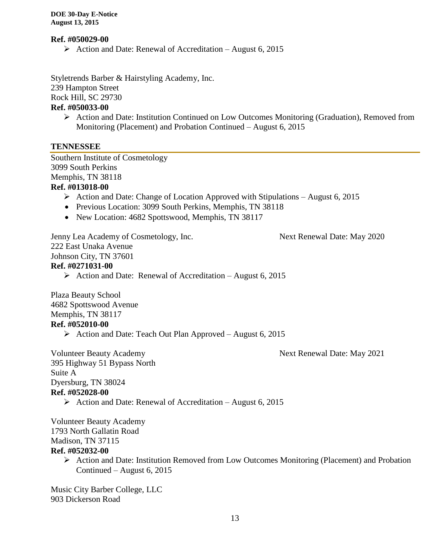#### **Ref. #050029-00**

Action and Date: Renewal of Accreditation – August 6, 2015

Styletrends Barber & Hairstyling Academy, Inc. 239 Hampton Street

Rock Hill, SC 29730

### **Ref. #050033-00**

 $\triangleright$  Action and Date: Institution Continued on Low Outcomes Monitoring (Graduation), Removed from Monitoring (Placement) and Probation Continued – August 6, 2015

#### **TENNESSEE**

Southern Institute of Cosmetology 3099 South Perkins Memphis, TN 38118 **Ref. #013018-00**

- $\triangleright$  Action and Date: Change of Location Approved with Stipulations August 6, 2015
- Previous Location: 3099 South Perkins, Memphis, TN 38118
- New Location: 4682 Spottswood, Memphis, TN 38117

Jenny Lea Academy of Cosmetology, Inc. Next Renewal Date: May 2020

222 East Unaka Avenue

Johnson City, TN 37601

#### **Ref. #0271031-00**

Action and Date: Renewal of Accreditation – August 6, 2015

Plaza Beauty School 4682 Spottswood Avenue Memphis, TN 38117 **Ref. #052010-00**

 $\triangleright$  Action and Date: Teach Out Plan Approved – August 6, 2015

Volunteer Beauty Academy Next Renewal Date: May 2021 395 Highway 51 Bypass North Suite A Dyersburg, TN 38024 **Ref. #052028-00**

Action and Date: Renewal of Accreditation – August 6, 2015

Volunteer Beauty Academy 1793 North Gallatin Road Madison, TN 37115 **Ref. #052032-00**

 Action and Date: Institution Removed from Low Outcomes Monitoring (Placement) and Probation Continued – August 6, 2015

Music City Barber College, LLC 903 Dickerson Road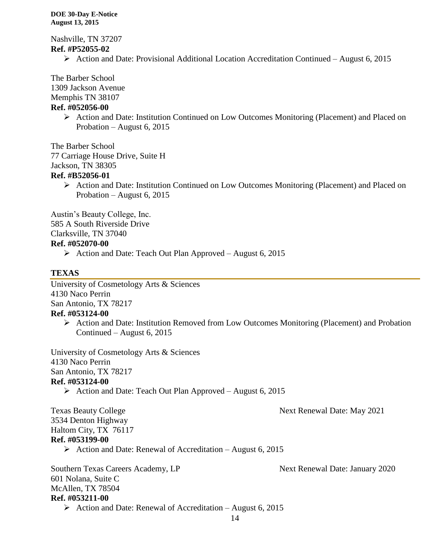Nashville, TN 37207 **Ref. #P52055-02**

 $\triangleright$  Action and Date: Provisional Additional Location Accreditation Continued – August 6, 2015

The Barber School

1309 Jackson Avenue

Memphis TN 38107

### **Ref. #052056-00**

 $\triangleright$  Action and Date: Institution Continued on Low Outcomes Monitoring (Placement) and Placed on Probation – August 6, 2015

The Barber School 77 Carriage House Drive, Suite H Jackson, TN 38305 **Ref. #B52056-01**

> Action and Date: Institution Continued on Low Outcomes Monitoring (Placement) and Placed on Probation – August 6, 2015

Austin's Beauty College, Inc.

585 A South Riverside Drive

Clarksville, TN 37040

### **Ref. #052070-00**

 $\triangleright$  Action and Date: Teach Out Plan Approved – August 6, 2015

# **TEXAS**

University of Cosmetology Arts & Sciences 4130 Naco Perrin San Antonio, TX 78217 **Ref. #053124-00**

 $\triangleright$  Action and Date: Institution Removed from Low Outcomes Monitoring (Placement) and Probation Continued – August 6, 2015

University of Cosmetology Arts & Sciences 4130 Naco Perrin San Antonio, TX 78217 **Ref. #053124-00**

 $\triangleright$  Action and Date: Teach Out Plan Approved – August 6, 2015

Texas Beauty College Next Renewal Date: May 2021

3534 Denton Highway Haltom City, TX 76117 **Ref. #053199-00**

 $\triangleright$  Action and Date: Renewal of Accreditation – August 6, 2015

Southern Texas Careers Academy, LP Next Renewal Date: January 2020 601 Nolana, Suite C McAllen, TX 78504 **Ref. #053211-00** Action and Date: Renewal of Accreditation – August 6, 2015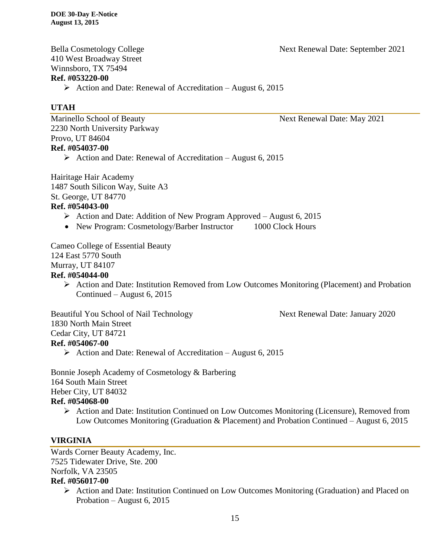Bella Cosmetology College Next Renewal Date: September 2021

410 West Broadway Street Winnsboro, TX 75494 **Ref. #053220-00**

Action and Date: Renewal of Accreditation – August 6, 2015

# **UTAH**

Marinello School of Beauty **Next Renewal Date: May 2021** 2230 North University Parkway Provo, UT 84604 **Ref. #054037-00**

Action and Date: Renewal of Accreditation – August 6, 2015

Hairitage Hair Academy 1487 South Silicon Way, Suite A3 St. George, UT 84770 **Ref. #054043-00**

- $\triangleright$  Action and Date: Addition of New Program Approved August 6, 2015
- New Program: Cosmetology/Barber Instructor 1000 Clock Hours

Cameo College of Essential Beauty 124 East 5770 South Murray, UT 84107 **Ref. #054044-00**

> $\triangleright$  Action and Date: Institution Removed from Low Outcomes Monitoring (Placement) and Probation Continued – August 6, 2015

Beautiful You School of Nail Technology Next Renewal Date: January 2020 1830 North Main Street Cedar City, UT 84721 **Ref. #054067-00**

 $\triangleright$  Action and Date: Renewal of Accreditation – August 6, 2015

Bonnie Joseph Academy of Cosmetology & Barbering 164 South Main Street Heber City, UT 84032

# **Ref. #054068-00**

 $\triangleright$  Action and Date: Institution Continued on Low Outcomes Monitoring (Licensure), Removed from Low Outcomes Monitoring (Graduation & Placement) and Probation Continued – August 6, 2015

# **VIRGINIA**

Wards Corner Beauty Academy, Inc. 7525 Tidewater Drive, Ste. 200 Norfolk, VA 23505

- **Ref. #056017-00**
	- Action and Date: Institution Continued on Low Outcomes Monitoring (Graduation) and Placed on Probation – August 6, 2015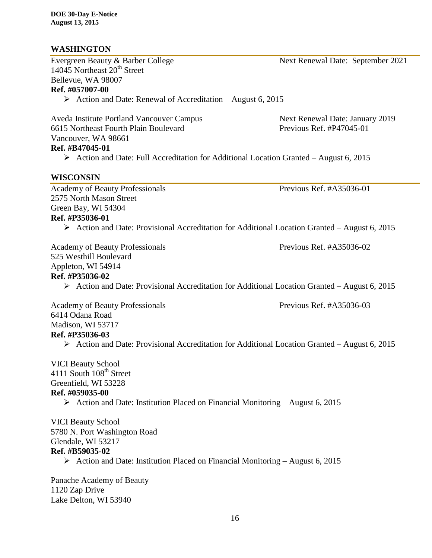# **WASHINGTON**

Evergreen Beauty & Barber College Next Renewal Date: September 2021 14045 Northeast 20<sup>th</sup> Street Bellevue, WA 98007 **Ref. #057007-00**

 $\triangleright$  Action and Date: Renewal of Accreditation – August 6, 2015

Aveda Institute Portland Vancouver Campus Next Renewal Date: January 2019 6615 Northeast Fourth Plain Boulevard Previous Ref. #P47045-01 Vancouver, WA 98661

# **Ref. #B47045-01**

 $\triangleright$  Action and Date: Full Accreditation for Additional Location Granted – August 6, 2015

### **WISCONSIN**

Academy of Beauty Professionals Previous Ref. #A35036-01 2575 North Mason Street Green Bay, WI 54304 **Ref. #P35036-01**

 $\triangleright$  Action and Date: Provisional Accreditation for Additional Location Granted – August 6, 2015

Academy of Beauty Professionals Previous Ref. #A35036-02 525 Westhill Boulevard Appleton, WI 54914 **Ref. #P35036-02**

 $\triangleright$  Action and Date: Provisional Accreditation for Additional Location Granted – August 6, 2015

Academy of Beauty Professionals Previous Ref. #A35036-03 6414 Odana Road Madison, WI 53717 **Ref. #P35036-03**

 $\triangleright$  Action and Date: Provisional Accreditation for Additional Location Granted – August 6, 2015

# VICI Beauty School 4111 South  $108<sup>th</sup>$  Street Greenfield, WI 53228 **Ref. #059035-00**

 $\triangleright$  Action and Date: Institution Placed on Financial Monitoring – August 6, 2015

VICI Beauty School 5780 N. Port Washington Road Glendale, WI 53217 **Ref. #B59035-02**

Action and Date: Institution Placed on Financial Monitoring – August 6, 2015

Panache Academy of Beauty 1120 Zap Drive Lake Delton, WI 53940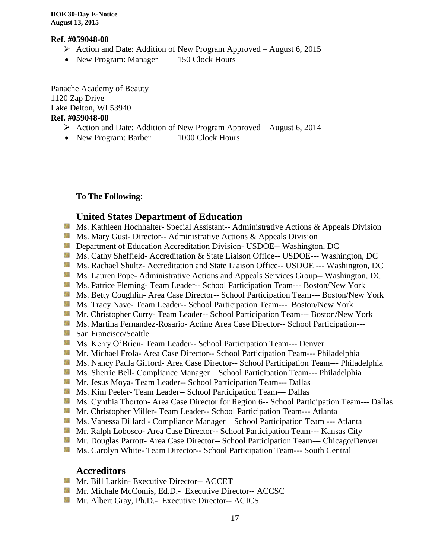#### **Ref. #059048-00**

- $\triangleright$  Action and Date: Addition of New Program Approved August 6, 2015
- New Program: Manager 150 Clock Hours

Panache Academy of Beauty 1120 Zap Drive Lake Delton, WI 53940 **Ref. #059048-00**

- $\triangleright$  Action and Date: Addition of New Program Approved August 6, 2014
- New Program: Barber 1000 Clock Hours

**To The Following:**

### **United States Department of Education**

- **Ms. Kathleen Hochhalter- Special Assistant-- Administrative Actions & Appeals Division**
- **Ms. Mary Gust- Director-- Administrative Actions & Appeals Division**
- **Department of Education Accreditation Division- USDOE-- Washington, DC**
- Ms. Cathy Sheffield- Accreditation & State Liaison Office-- USDOE--- Washington, DC
- **MS. Rachael Shultz- Accreditation and State Liaison Office-- USDOE --- Washington, DC**
- **Ms. Lauren Pope- Administrative Actions and Appeals Services Group-- Washington, DC**
- Ms. Patrice Fleming-Team Leader-- School Participation Team--- Boston/New York
- Ms. Betty Coughlin- Area Case Director-- School Participation Team--- Boston/New York
- Ms. Tracy Nave- Team Leader-- School Participation Team--- Boston/New York
- Mr. Christopher Curry- Team Leader-- School Participation Team--- Boston/New York
- **Ms. Martina Fernandez-Rosario-Acting Area Case Director-- School Participation---**
- San Francisco/Seattle
- Ms. Kerry O'Brien- Team Leader-- School Participation Team--- Denver
- **Mr. Michael Frola- Area Case Director-- School Participation Team--- Philadelphia**
- Ms. Nancy Paula Gifford- Area Case Director-- School Participation Team--- Philadelphia
- **Ms. Sherrie Bell- Compliance Manager—School Participation Team--- Philadelphia**
- Mr. Jesus Moya- Team Leader-- School Participation Team--- Dallas
- **Ms. Kim Peeler- Team Leader-- School Participation Team--- Dallas**
- **Ms. Cynthia Thorton- Area Case Director for Region 6-- School Participation Team--- Dallas**
- **Mr. Christopher Miller-Team Leader-- School Participation Team--- Atlanta**
- **Ms. Vanessa Dillard Compliance Manager School Participation Team --- Atlanta**
- Mr. Ralph Lobosco- Area Case Director-- School Participation Team--- Kansas City
- Mr. Douglas Parrott- Area Case Director-- School Participation Team--- Chicago/Denver
- **Ms. Carolyn White-Team Director-- School Participation Team--- South Central**

#### **Accreditors**

- **Mr. Bill Larkin- Executive Director-- ACCET**
- **Mr. Michale McComis, Ed.D.- Executive Director-- ACCSC**
- **Mr.** Albert Gray, Ph.D.- Executive Director-- ACICS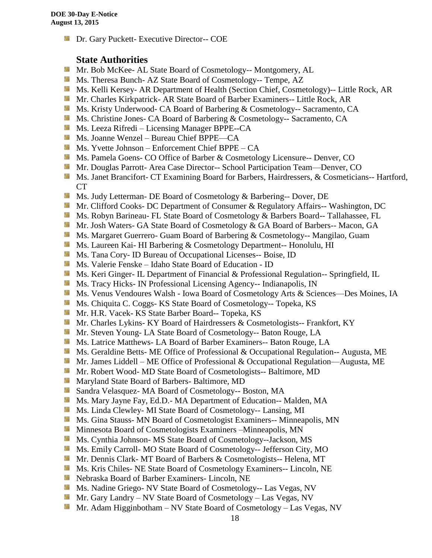**Dr.** Gary Puckett- Executive Director-- COE

# **State Authorities**

- Mr. Bob McKee- AL State Board of Cosmetology-- Montgomery, AL
- Ms. Theresa Bunch- AZ State Board of Cosmetology-- Tempe, AZ
- Ms. Kelli Kersey- AR Department of Health (Section Chief, Cosmetology)-- Little Rock, AR
- Mr. Charles Kirkpatrick- AR State Board of Barber Examiners-- Little Rock, AR
- **Ms. Kristy Underwood- CA Board of Barbering & Cosmetology-- Sacramento, CA**
- **Ms.** Christine Jones- CA Board of Barbering & Cosmetology-- Sacramento, CA
- **Ms. Leeza Rifredi** Licensing Manager BPPE--CA
- Ms. Joanne Wenzel Bureau Chief BPPE—CA
- Ms. Yvette Johnson Enforcement Chief BPPE CA
- Ms. Pamela Goens- CO Office of Barber & Cosmetology Licensure-- Denver, CO
- **Mr. Douglas Parrott- Area Case Director-- School Participation Team—Denver, CO**
- **Ms. Janet Brancifort- CT Examining Board for Barbers, Hairdressers, & Cosmeticians-- Hartford,** CT
- **Ms.** Judy Letterman- DE Board of Cosmetology & Barbering-- Dover, DE
- **Mr. Clifford Cooks- DC Department of Consumer & Regulatory Affairs-- Washington, DC**
- **Ms. Robyn Barineau- FL State Board of Cosmetology & Barbers Board-- Tallahassee, FL**
- **Mr.** Josh Waters- GA State Board of Cosmetology & GA Board of Barbers-- Macon, GA
- **Ms. Margaret Guerrero- Guam Board of Barbering & Cosmetology-- Mangilao, Guam**
- Ms. Laureen Kai- HI Barbering & Cosmetology Department-- Honolulu, HI
- **Ms.** Tana Cory- ID Bureau of Occupational Licenses-- Boise, ID
- Ms. Valerie Fenske Idaho State Board of Education ID
- **Ms. Keri Ginger- IL Department of Financial & Professional Regulation-- Springfield, IL**
- **Ms.** Tracy Hicks- IN Professional Licensing Agency-- Indianapolis, IN
- Ms. Venus Vendoures Walsh Iowa Board of Cosmetology Arts & Sciences—Des Moines, IA
- **Ms.** Chiquita C. Coggs- KS State Board of Cosmetology-- Topeka, KS
- Mr. H.R. Vacek- KS State Barber Board-- Topeka, KS
- **Mr.** Charles Lykins- KY Board of Hairdressers & Cosmetologists-- Frankfort, KY
- **Mr.** Steven Young-LA State Board of Cosmetology-- Baton Rouge, LA
- **Ms. Latrice Matthews- LA Board of Barber Examiners-- Baton Rouge, LA**
- **Ms. Geraldine Betts- ME Office of Professional & Occupational Regulation-- Augusta, ME**
- Mr. James Liddell ME Office of Professional & Occupational Regulation—Augusta, ME
- Mr. Robert Wood- MD State Board of Cosmetologists-- Baltimore, MD
- **Maryland State Board of Barbers- Baltimore, MD**
- Sandra Velasquez- MA Board of Cosmetology-- Boston, MA
- Ms. Mary Jayne Fay, Ed.D.- MA Department of Education-- Malden, MA
- **Ms.** Linda Clewley- MI State Board of Cosmetology-- Lansing, MI
- **Ms.** Gina Stauss- MN Board of Cosmetologist Examiners-- Minneapolis, MN
- **M** Minnesota Board of Cosmetologists Examiners –Minneapolis, MN
- **Ms.** Cynthia Johnson- MS State Board of Cosmetology--Jackson, MS
- Ms. Emily Carroll- MO State Board of Cosmetology-- Jefferson City, MO
- Mr. Dennis Clark- MT Board of Barbers & Cosmetologists-- Helena, MT
- Ms. Kris Chiles- NE State Board of Cosmetology Examiners-- Lincoln, NE
- Nebraska Board of Barber Examiners- Lincoln, NE
- Ms. Nadine Griego- NV State Board of Cosmetology-- Las Vegas, NV
- Mr. Gary Landry NV State Board of Cosmetology Las Vegas, NV
- **Mr.** Adam Higginbotham NV State Board of Cosmetology Las Vegas, NV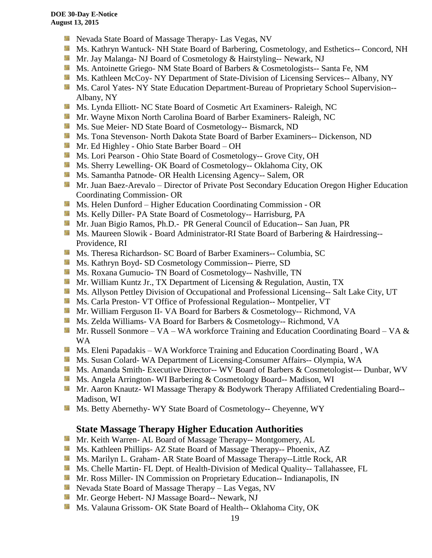- **Nevada State Board of Massage Therapy- Las Vegas, NV**
- Ms. Kathryn Wantuck- NH State Board of Barbering, Cosmetology, and Esthetics-- Concord, NH
- **Mr. Jay Malanga- NJ Board of Cosmetology & Hairstyling-- Newark, NJ**
- **MS.** Antoinette Griego- NM State Board of Barbers & Cosmetologists-- Santa Fe, NM
- Ms. Kathleen McCoy- NY Department of State-Division of Licensing Services-- Albany, NY
- Ms. Carol Yates- NY State Education Department-Bureau of Proprietary School Supervision--Albany, NY
- Ms. Lynda Elliott- NC State Board of Cosmetic Art Examiners- Raleigh, NC
- **Mr.** Wayne Mixon North Carolina Board of Barber Examiners- Raleigh, NC
- **MS.** Sue Meier- ND State Board of Cosmetology-- Bismarck, ND
- **Ms. Tona Stevenson- North Dakota State Board of Barber Examiners-- Dickenson, ND**
- Mr. Ed Highley Ohio State Barber Board OH
- Ms. Lori Pearson Ohio State Board of Cosmetology-- Grove City, OH
- **Ms. Sherry Lewelling- OK Board of Cosmetology-- Oklahoma City, OK**
- **Ms. Samantha Patnode- OR Health Licensing Agency-- Salem, OR**
- **Mr. Juan Baez-Arevalo** Director of Private Post Secondary Education Oregon Higher Education Coordinating Commission- OR
- **MS. Helen Dunford Higher Education Coordinating Commission OR**
- Ms. Kelly Diller- PA State Board of Cosmetology-- Harrisburg, PA
- Mr. Juan Bigio Ramos, Ph.D.- PR General Council of Education-- San Juan, PR
- **Ms. Maureen Slowik Board Administrator-RI State Board of Barbering & Hairdressing--**Providence, RI
- Ms. Theresa Richardson- SC Board of Barber Examiners-- Columbia, SC
- Ms. Kathryn Boyd- SD Cosmetology Commission-- Pierre, SD
- **Ms. Roxana Gumucio- TN Board of Cosmetology-- Nashville, TN**
- **Mr. William Kuntz Jr., TX Department of Licensing & Regulation, Austin, TX**
- **Ms.** Allyson Pettley Division of Occupational and Professional Licensing-- Salt Lake City, UT
- Ms. Carla Preston- VT Office of Professional Regulation-- Montpelier, VT
- Mr. William Ferguson II- VA Board for Barbers & Cosmetology-- Richmond, VA
- Ms. Zelda Williams- VA Board for Barbers & Cosmetology-- Richmond, VA
- **Mr.** Russell Sonmore VA WA workforce Training and Education Coordinating Board VA  $\&$ WA
- Ms. Eleni Papadakis WA Workforce Training and Education Coordinating Board , WA
- Ms. Susan Colard- WA Department of Licensing-Consumer Affairs-- Olympia, WA
- **Ms.** Amanda Smith- Executive Director-- WV Board of Barbers & Cosmetologist--- Dunbar, WV
- Ms. Angela Arrington- WI Barbering & Cosmetology Board-- Madison, WI
- Mr. Aaron Knautz- WI Massage Therapy & Bodywork Therapy Affiliated Credentialing Board--Madison, WI
- **Ms. Betty Abernethy- WY State Board of Cosmetology-- Cheyenne, WY**

# **State Massage Therapy Higher Education Authorities**

- **Mr. Keith Warren- AL Board of Massage Therapy-- Montgomery, AL**
- Ms. Kathleen Phillips- AZ State Board of Massage Therapy-- Phoenix, AZ
- **M.** Ms. Marilyn L. Graham- AR State Board of Massage Therapy--Little Rock, AR
- Ms. Chelle Martin- FL Dept. of Health-Division of Medical Quality-- Tallahassee, FL
- **Mr. Ross Miller- IN Commission on Proprietary Education-- Indianapolis, IN**
- **Nevada State Board of Massage Therapy Las Vegas, NV**
- Mr. George Hebert- NJ Massage Board-- Newark, NJ
- Ms. Valauna Grissom- OK State Board of Health-- Oklahoma City, OK